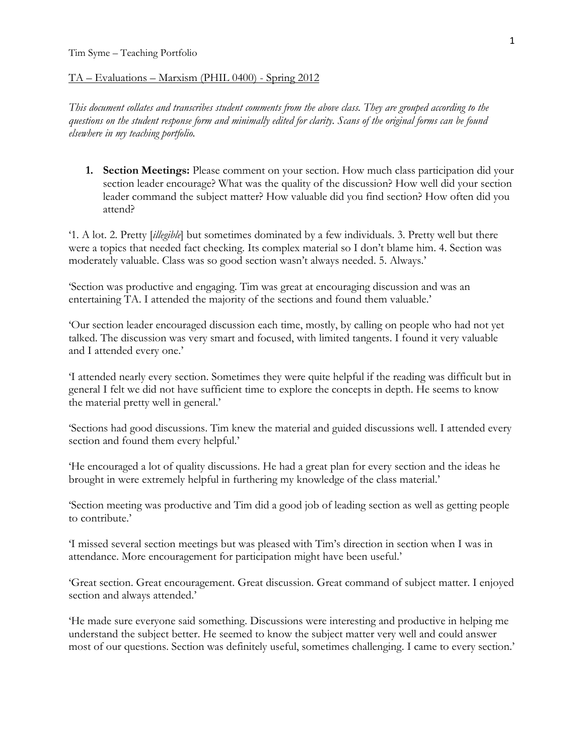## TA – Evaluations – Marxism (PHIL 0400) - Spring 2012

*This document collates and transcribes student comments from the above class. They are grouped according to the questions on the student response form and minimally edited for clarity. Scans of the original forms can be found elsewhere in my teaching portfolio.* 

**1. Section Meetings:** Please comment on your section. How much class participation did your section leader encourage? What was the quality of the discussion? How well did your section leader command the subject matter? How valuable did you find section? How often did you attend?

'1. A lot. 2. Pretty [*illegible*] but sometimes dominated by a few individuals. 3. Pretty well but there were a topics that needed fact checking. Its complex material so I don't blame him. 4. Section was moderately valuable. Class was so good section wasn't always needed. 5. Always.'

'Section was productive and engaging. Tim was great at encouraging discussion and was an entertaining TA. I attended the majority of the sections and found them valuable.'

'Our section leader encouraged discussion each time, mostly, by calling on people who had not yet talked. The discussion was very smart and focused, with limited tangents. I found it very valuable and I attended every one.'

'I attended nearly every section. Sometimes they were quite helpful if the reading was difficult but in general I felt we did not have sufficient time to explore the concepts in depth. He seems to know the material pretty well in general.'

'Sections had good discussions. Tim knew the material and guided discussions well. I attended every section and found them every helpful.'

'He encouraged a lot of quality discussions. He had a great plan for every section and the ideas he brought in were extremely helpful in furthering my knowledge of the class material.'

'Section meeting was productive and Tim did a good job of leading section as well as getting people to contribute.'

'I missed several section meetings but was pleased with Tim's direction in section when I was in attendance. More encouragement for participation might have been useful.'

'Great section. Great encouragement. Great discussion. Great command of subject matter. I enjoyed section and always attended.'

'He made sure everyone said something. Discussions were interesting and productive in helping me understand the subject better. He seemed to know the subject matter very well and could answer most of our questions. Section was definitely useful, sometimes challenging. I came to every section.'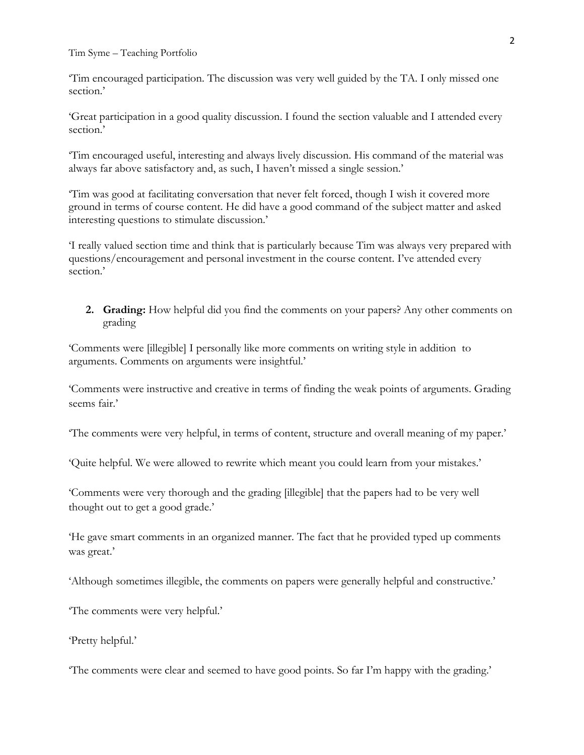Tim Syme – Teaching Portfolio

'Tim encouraged participation. The discussion was very well guided by the TA. I only missed one section.'

'Great participation in a good quality discussion. I found the section valuable and I attended every section.'

'Tim encouraged useful, interesting and always lively discussion. His command of the material was always far above satisfactory and, as such, I haven't missed a single session.'

'Tim was good at facilitating conversation that never felt forced, though I wish it covered more ground in terms of course content. He did have a good command of the subject matter and asked interesting questions to stimulate discussion.'

'I really valued section time and think that is particularly because Tim was always very prepared with questions/encouragement and personal investment in the course content. I've attended every section.'

**2. Grading:** How helpful did you find the comments on your papers? Any other comments on grading

'Comments were [illegible] I personally like more comments on writing style in addition to arguments. Comments on arguments were insightful.'

'Comments were instructive and creative in terms of finding the weak points of arguments. Grading seems fair.'

'The comments were very helpful, in terms of content, structure and overall meaning of my paper.'

'Quite helpful. We were allowed to rewrite which meant you could learn from your mistakes.'

'Comments were very thorough and the grading [illegible] that the papers had to be very well thought out to get a good grade.'

'He gave smart comments in an organized manner. The fact that he provided typed up comments was great.'

'Although sometimes illegible, the comments on papers were generally helpful and constructive.'

'The comments were very helpful.'

'Pretty helpful.'

'The comments were clear and seemed to have good points. So far I'm happy with the grading.'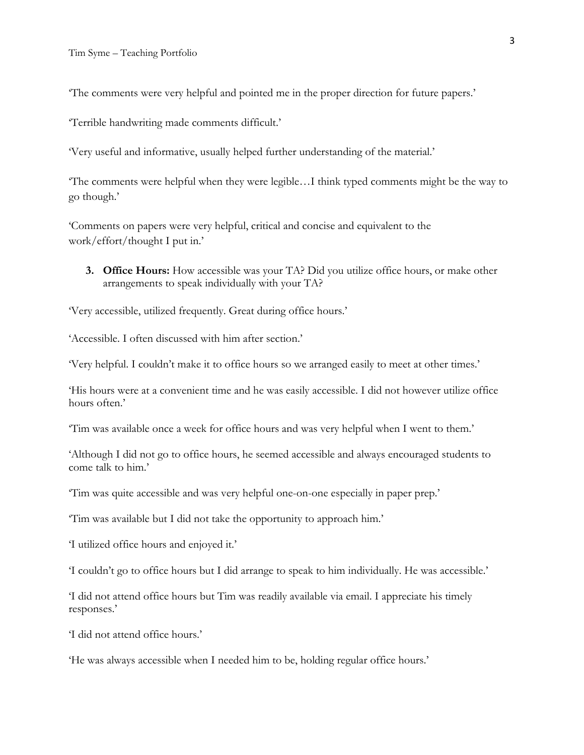'The comments were very helpful and pointed me in the proper direction for future papers.'

'Terrible handwriting made comments difficult.'

'Very useful and informative, usually helped further understanding of the material.'

'The comments were helpful when they were legible…I think typed comments might be the way to go though.'

'Comments on papers were very helpful, critical and concise and equivalent to the work/effort/thought I put in.'

**3. Office Hours:** How accessible was your TA? Did you utilize office hours, or make other arrangements to speak individually with your TA?

'Very accessible, utilized frequently. Great during office hours.'

'Accessible. I often discussed with him after section.'

'Very helpful. I couldn't make it to office hours so we arranged easily to meet at other times.'

'His hours were at a convenient time and he was easily accessible. I did not however utilize office hours often.'

'Tim was available once a week for office hours and was very helpful when I went to them.'

'Although I did not go to office hours, he seemed accessible and always encouraged students to come talk to him.'

'Tim was quite accessible and was very helpful one-on-one especially in paper prep.'

'Tim was available but I did not take the opportunity to approach him.'

'I utilized office hours and enjoyed it.'

'I couldn't go to office hours but I did arrange to speak to him individually. He was accessible.'

'I did not attend office hours but Tim was readily available via email. I appreciate his timely responses.'

'I did not attend office hours.'

'He was always accessible when I needed him to be, holding regular office hours.'